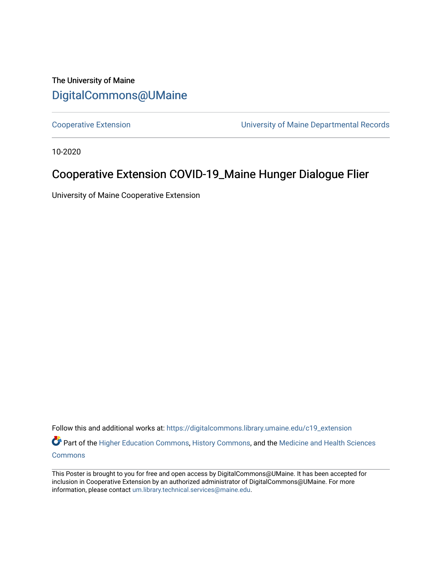#### The University of Maine [DigitalCommons@UMaine](https://digitalcommons.library.umaine.edu/)

[Cooperative Extension](https://digitalcommons.library.umaine.edu/c19_extension) [University of Maine Departmental Records](https://digitalcommons.library.umaine.edu/c19_umdr) 

10-2020

#### Cooperative Extension COVID-19\_Maine Hunger Dialogue Flier

University of Maine Cooperative Extension

Follow this and additional works at: [https://digitalcommons.library.umaine.edu/c19\\_extension](https://digitalcommons.library.umaine.edu/c19_extension?utm_source=digitalcommons.library.umaine.edu%2Fc19_extension%2F10&utm_medium=PDF&utm_campaign=PDFCoverPages)  Part of the [Higher Education Commons,](http://network.bepress.com/hgg/discipline/1245?utm_source=digitalcommons.library.umaine.edu%2Fc19_extension%2F10&utm_medium=PDF&utm_campaign=PDFCoverPages) [History Commons,](http://network.bepress.com/hgg/discipline/489?utm_source=digitalcommons.library.umaine.edu%2Fc19_extension%2F10&utm_medium=PDF&utm_campaign=PDFCoverPages) and the Medicine and Health Sciences [Commons](http://network.bepress.com/hgg/discipline/648?utm_source=digitalcommons.library.umaine.edu%2Fc19_extension%2F10&utm_medium=PDF&utm_campaign=PDFCoverPages)

This Poster is brought to you for free and open access by DigitalCommons@UMaine. It has been accepted for inclusion in Cooperative Extension by an authorized administrator of DigitalCommons@UMaine. For more information, please contact [um.library.technical.services@maine.edu](mailto:um.library.technical.services@maine.edu).